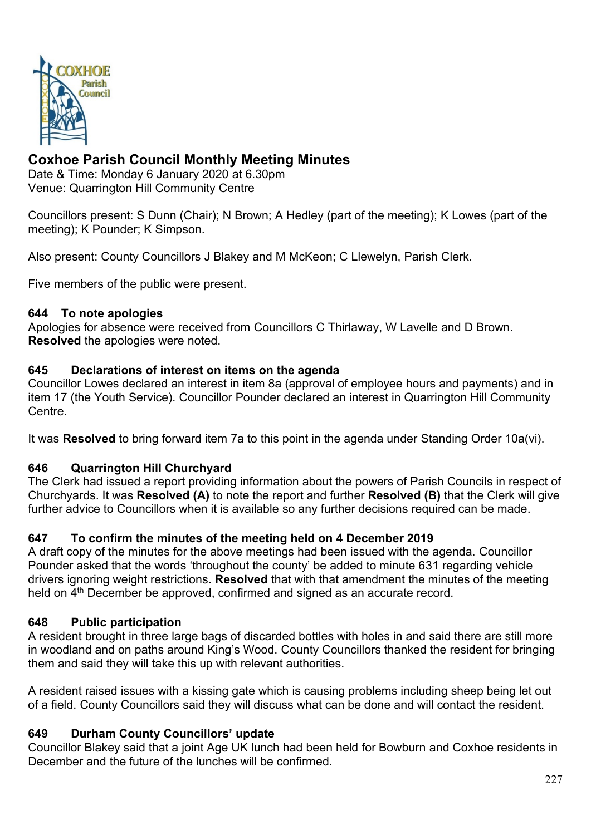

# **Coxhoe Parish Council Monthly Meeting Minutes**

Date & Time: Monday 6 January 2020 at 6.30pm Venue: Quarrington Hill Community Centre

Councillors present: S Dunn (Chair); N Brown; A Hedley (part of the meeting); K Lowes (part of the meeting); K Pounder; K Simpson.

Also present: County Councillors J Blakey and M McKeon; C Llewelyn, Parish Clerk.

Five members of the public were present.

#### **644 To note apologies**

Apologies for absence were received from Councillors C Thirlaway, W Lavelle and D Brown. **Resolved** the apologies were noted.

#### **645 Declarations of interest on items on the agenda**

Councillor Lowes declared an interest in item 8a (approval of employee hours and payments) and in item 17 (the Youth Service). Councillor Pounder declared an interest in Quarrington Hill Community Centre.

It was **Resolved** to bring forward item 7a to this point in the agenda under Standing Order 10a(vi).

#### **646 Quarrington Hill Churchyard**

The Clerk had issued a report providing information about the powers of Parish Councils in respect of Churchyards. It was **Resolved (A)** to note the report and further **Resolved (B)** that the Clerk will give further advice to Councillors when it is available so any further decisions required can be made.

#### **647 To confirm the minutes of the meeting held on 4 December 2019**

A draft copy of the minutes for the above meetings had been issued with the agenda. Councillor Pounder asked that the words 'throughout the county' be added to minute 631 regarding vehicle drivers ignoring weight restrictions. **Resolved** that with that amendment the minutes of the meeting held on 4<sup>th</sup> December be approved, confirmed and signed as an accurate record.

#### **648 Public participation**

A resident brought in three large bags of discarded bottles with holes in and said there are still more in woodland and on paths around King's Wood. County Councillors thanked the resident for bringing them and said they will take this up with relevant authorities.

A resident raised issues with a kissing gate which is causing problems including sheep being let out of a field. County Councillors said they will discuss what can be done and will contact the resident.

#### **649 Durham County Councillors' update**

Councillor Blakey said that a joint Age UK lunch had been held for Bowburn and Coxhoe residents in December and the future of the lunches will be confirmed.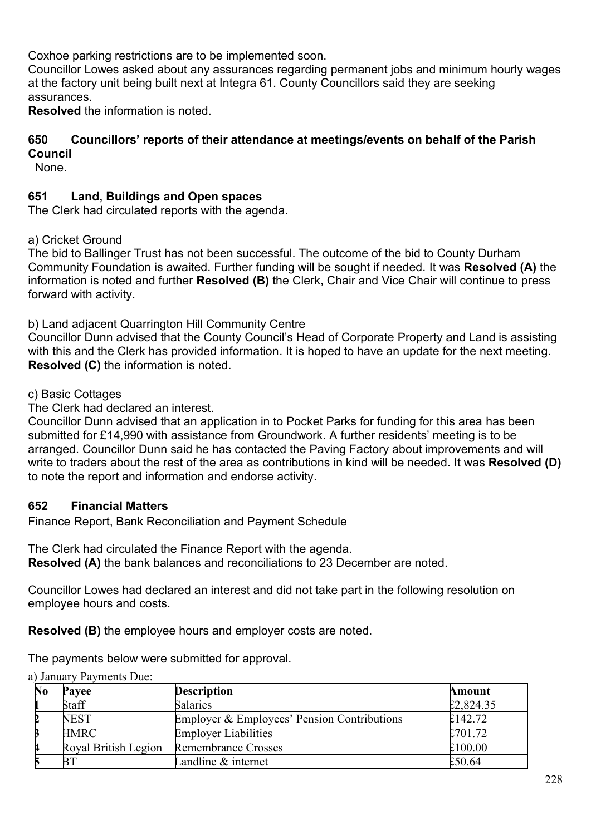Coxhoe parking restrictions are to be implemented soon.

Councillor Lowes asked about any assurances regarding permanent jobs and minimum hourly wages at the factory unit being built next at Integra 61. County Councillors said they are seeking assurances.

**Resolved** the information is noted.

#### **650 Councillors' reports of their attendance at meetings/events on behalf of the Parish Council**

None.

### **651 Land, Buildings and Open spaces**

The Clerk had circulated reports with the agenda.

a) Cricket Ground

The bid to Ballinger Trust has not been successful. The outcome of the bid to County Durham Community Foundation is awaited. Further funding will be sought if needed. It was **Resolved (A)** the information is noted and further **Resolved (B)** the Clerk, Chair and Vice Chair will continue to press forward with activity.

b) Land adjacent Quarrington Hill Community Centre

Councillor Dunn advised that the County Council's Head of Corporate Property and Land is assisting with this and the Clerk has provided information. It is hoped to have an update for the next meeting. **Resolved (C)** the information is noted.

c) Basic Cottages

The Clerk had declared an interest.

Councillor Dunn advised that an application in to Pocket Parks for funding for this area has been submitted for £14,990 with assistance from Groundwork. A further residents' meeting is to be arranged. Councillor Dunn said he has contacted the Paving Factory about improvements and will write to traders about the rest of the area as contributions in kind will be needed. It was **Resolved (D)** to note the report and information and endorse activity.

#### **652 Financial Matters**

Finance Report, Bank Reconciliation and Payment Schedule

The Clerk had circulated the Finance Report with the agenda. **Resolved (A)** the bank balances and reconciliations to 23 December are noted.

Councillor Lowes had declared an interest and did not take part in the following resolution on employee hours and costs.

**Resolved (B)** the employee hours and employer costs are noted.

The payments below were submitted for approval.

**No Payee Description Amount 1** Staff Salaries 5.824.35 **2142.72** Employer & Employees' Pension Contributions  $\epsilon$ 142.72 **3** Employer Liabilities **Employer Liabilities**  $\epsilon$  701.72 Royal British Legion Remembrance Crosses  $\epsilon$  100.00 **50.64 Example & internet** E50.64

a) January Payments Due: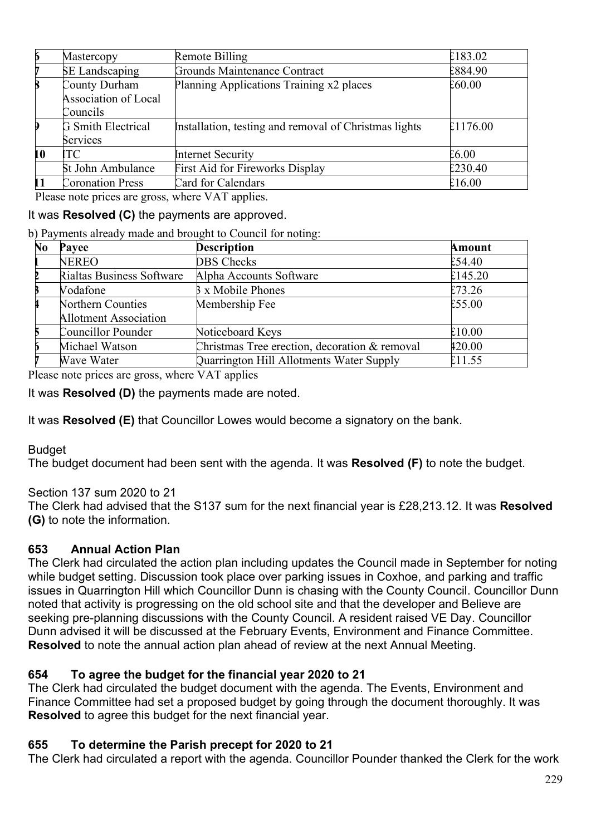| 6                         | Mastercopy                | Remote Billing                                        | £183.02  |
|---------------------------|---------------------------|-------------------------------------------------------|----------|
|                           | <b>SE</b> Landscaping     | Grounds Maintenance Contract                          | £884.90  |
| $\bf{B}$<br>County Durham |                           | Planning Applications Training x2 places              | £60.00   |
|                           | Association of Local      |                                                       |          |
|                           | Councils                  |                                                       |          |
|                           | <b>G</b> Smith Electrical | Installation, testing and removal of Christmas lights | £1176.00 |
|                           | Services                  |                                                       |          |
| 10                        | TC                        | Internet Security                                     | £6.00    |
|                           | St John Ambulance         | First Aid for Fireworks Display                       | £230.40  |
|                           | <b>Coronation Press</b>   | Card for Calendars                                    | £16.00   |

Please note prices are gross, where VAT applies.

# It was **Resolved (C)** the payments are approved.

b) Payments already made and brought to Council for noting:

| N <sub>0</sub> | Payee                        | <b>Description</b>                            | <b>Amount</b> |
|----------------|------------------------------|-----------------------------------------------|---------------|
|                | <b>NEREO</b>                 | <b>DBS</b> Checks                             | £54.40        |
|                | Rialtas Business Software    | Alpha Accounts Software                       | £145.20       |
|                | Vodafone                     | <b>B</b> x Mobile Phones                      | £73.26        |
|                | Northern Counties            | Membership Fee                                | £55.00        |
|                | <b>Allotment Association</b> |                                               |               |
|                | Councillor Pounder           | Noticeboard Keys                              | £10.00        |
|                | Michael Watson               | Christmas Tree erection, decoration & removal | 420.00        |
|                | Wave Water                   | Quarrington Hill Allotments Water Supply      | £11.55        |

Please note prices are gross, where VAT applies

It was **Resolved (D)** the payments made are noted.

It was **Resolved (E)** that Councillor Lowes would become a signatory on the bank.

#### Budget

The budget document had been sent with the agenda. It was **Resolved (F)** to note the budget.

#### Section 137 sum 2020 to 21

The Clerk had advised that the S137 sum for the next financial year is £28,213.12. It was **Resolved (G)** to note the information.

#### **653 Annual Action Plan**

The Clerk had circulated the action plan including updates the Council made in September for noting while budget setting. Discussion took place over parking issues in Coxhoe, and parking and traffic issues in Quarrington Hill which Councillor Dunn is chasing with the County Council. Councillor Dunn noted that activity is progressing on the old school site and that the developer and Believe are seeking pre-planning discussions with the County Council. A resident raised VE Day. Councillor Dunn advised it will be discussed at the February Events, Environment and Finance Committee. **Resolved** to note the annual action plan ahead of review at the next Annual Meeting.

#### **654 To agree the budget for the financial year 2020 to 21**

The Clerk had circulated the budget document with the agenda. The Events, Environment and Finance Committee had set a proposed budget by going through the document thoroughly. It was **Resolved** to agree this budget for the next financial year.

#### **655 To determine the Parish precept for 2020 to 21**

The Clerk had circulated a report with the agenda. Councillor Pounder thanked the Clerk for the work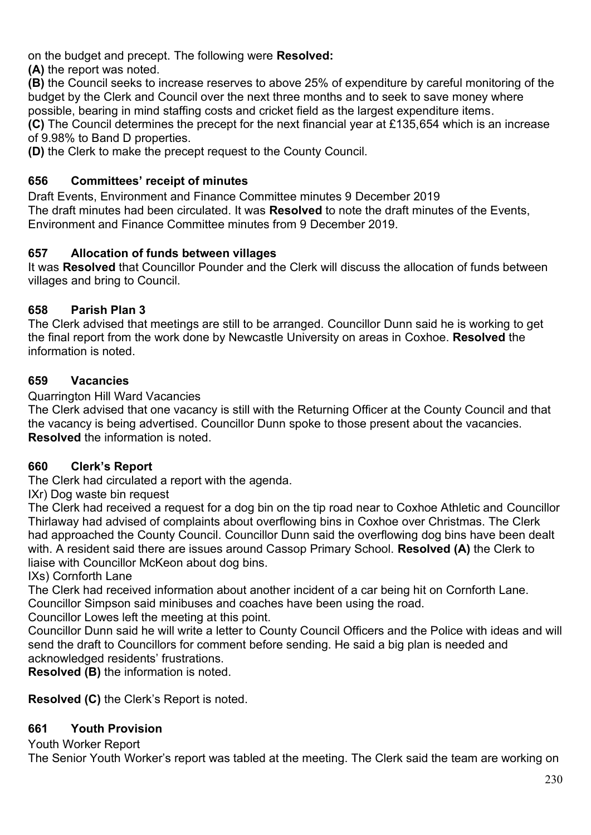on the budget and precept. The following were **Resolved:** 

**(A)** the report was noted.

**(B)** the Council seeks to increase reserves to above 25% of expenditure by careful monitoring of the budget by the Clerk and Council over the next three months and to seek to save money where possible, bearing in mind staffing costs and cricket field as the largest expenditure items.

**(C)** The Council determines the precept for the next financial year at £135,654 which is an increase of 9.98% to Band D properties.

**(D)** the Clerk to make the precept request to the County Council.

# **656 Committees' receipt of minutes**

Draft Events, Environment and Finance Committee minutes 9 December 2019 The draft minutes had been circulated. It was **Resolved** to note the draft minutes of the Events, Environment and Finance Committee minutes from 9 December 2019.

# **657 Allocation of funds between villages**

It was **Resolved** that Councillor Pounder and the Clerk will discuss the allocation of funds between villages and bring to Council.

# **658 Parish Plan 3**

The Clerk advised that meetings are still to be arranged. Councillor Dunn said he is working to get the final report from the work done by Newcastle University on areas in Coxhoe. **Resolved** the information is noted.

# **659 Vacancies**

Quarrington Hill Ward Vacancies

The Clerk advised that one vacancy is still with the Returning Officer at the County Council and that the vacancy is being advertised. Councillor Dunn spoke to those present about the vacancies. **Resolved** the information is noted.

# **660 Clerk's Report**

The Clerk had circulated a report with the agenda.

IXr) Dog waste bin request

The Clerk had received a request for a dog bin on the tip road near to Coxhoe Athletic and Councillor Thirlaway had advised of complaints about overflowing bins in Coxhoe over Christmas. The Clerk had approached the County Council. Councillor Dunn said the overflowing dog bins have been dealt with. A resident said there are issues around Cassop Primary School. **Resolved (A)** the Clerk to liaise with Councillor McKeon about dog bins.

IXs) Cornforth Lane

The Clerk had received information about another incident of a car being hit on Cornforth Lane. Councillor Simpson said minibuses and coaches have been using the road.

Councillor Lowes left the meeting at this point.

Councillor Dunn said he will write a letter to County Council Officers and the Police with ideas and will send the draft to Councillors for comment before sending. He said a big plan is needed and acknowledged residents' frustrations.

**Resolved (B)** the information is noted.

**Resolved (C)** the Clerk's Report is noted.

# **661 Youth Provision**

Youth Worker Report

The Senior Youth Worker's report was tabled at the meeting. The Clerk said the team are working on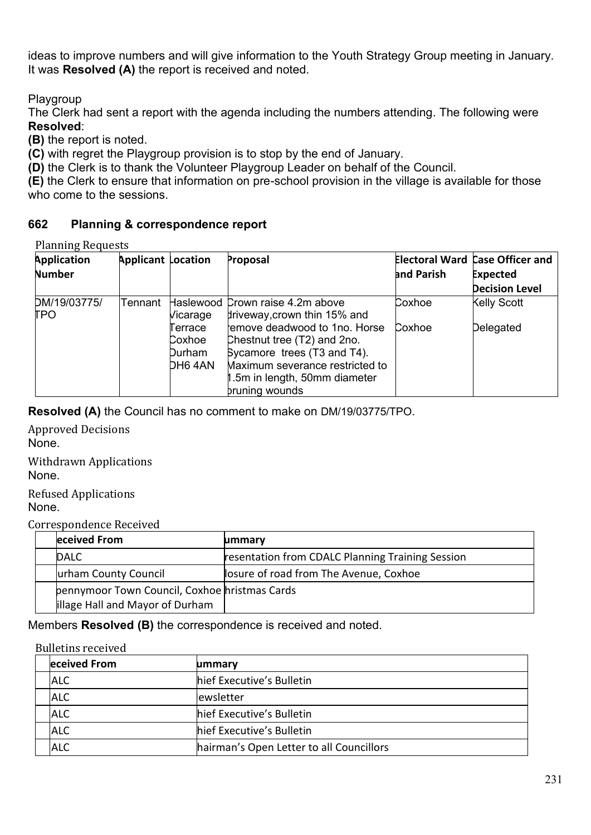ideas to improve numbers and will give information to the Youth Strategy Group meeting in January. It was **Resolved (A)** the report is received and noted.

Playgroup

The Clerk had sent a report with the agenda including the numbers attending. The following were **Resolved**:

**(B)** the report is noted.

**(C)** with regret the Playgroup provision is to stop by the end of January.

**(D)** the Clerk is to thank the Volunteer Playgroup Leader on behalf of the Council.

**(E)** the Clerk to ensure that information on pre-school provision in the village is available for those who come to the sessions.

### **662 Planning & correspondence report**

Planning Requests

| <b>Application</b><br><b>Number</b> | <b>Applicant Location</b> |                                        | Proposal                                                                                                                                                                          | and Parish | <b>Electoral Ward Case Officer and</b><br><b>Expected</b><br><b>Decision Level</b> |
|-------------------------------------|---------------------------|----------------------------------------|-----------------------------------------------------------------------------------------------------------------------------------------------------------------------------------|------------|------------------------------------------------------------------------------------|
| DM/19/03775/<br>TPO                 | Tennant                   | Vicarage                               | Haslewood Crown raise 4.2m above<br>driveway, crown thin 15% and                                                                                                                  | Coxhoe     | <b>Kelly Scott</b>                                                                 |
|                                     |                           | Terrace<br>Coxhoe<br>Durham<br>DH6 4AN | remove deadwood to 1no. Horse<br>Chestnut tree (T2) and 2no.<br>Sycamore trees (T3 and T4).<br>Maximum severance restricted to<br>1.5m in length, 50mm diameter<br>bruning wounds | Coxhoe     | Delegated                                                                          |

**Resolved (A)** the Council has no comment to make on DM/19/03775/TPO.

Approved Decisions None.

Withdrawn Applications None.

Refused Applications None.

Correspondence Received

| eceived From                                  | ummary                                           |
|-----------------------------------------------|--------------------------------------------------|
| <b>IDALC</b>                                  | resentation from CDALC Planning Training Session |
| urham County Council                          | losure of road from The Avenue, Coxhoe           |
| pennymoor Town Council, Coxhoe hristmas Cards |                                                  |
| illage Hall and Mayor of Durham               |                                                  |

Members **Resolved (B)** the correspondence is received and noted.

| <b>Bulletins received</b> |                                          |  |
|---------------------------|------------------------------------------|--|
| eceived From              | ummary                                   |  |
| <b>ALC</b>                | hief Executive's Bulletin                |  |
| <b>ALC</b>                | ewsletter                                |  |
| <b>ALC</b>                | hief Executive's Bulletin                |  |
| <b>ALC</b>                | hief Executive's Bulletin                |  |
| <b>ALC</b>                | hairman's Open Letter to all Councillors |  |